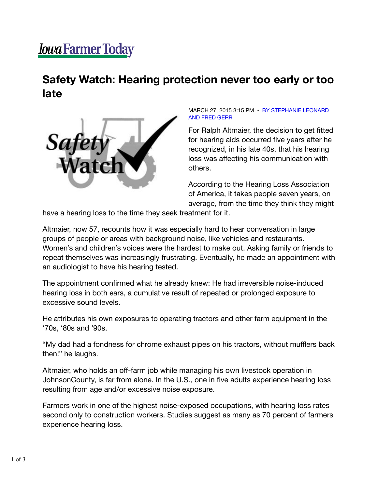## *<u>Iowa Farmer Today</u>*

## **Safety Watch: Hearing protection never too early or too late**



MARCH 27, 2015 3:15 PM • BY STEPHANIE LEONARD AND FRED GERR

For Ralph Altmaier, the decision to get fitted for hearing aids occurred five years after he recognized, in his late 40s, that his hearing loss was affecting his communication with others.

According to the Hearing Loss Association of America, it takes people seven years, on average, from the time they think they might

have a hearing loss to the time they seek treatment for it.

Altmaier, now 57, recounts how it was especially hard to hear conversation in large groups of people or areas with background noise, like vehicles and restaurants. Women's and children's voices were the hardest to make out. Asking family or friends to repeat themselves was increasingly frustrating. Eventually, he made an appointment with an audiologist to have his hearing tested.

The appointment confirmed what he already knew: He had irreversible noise-induced hearing loss in both ears, a cumulative result of repeated or prolonged exposure to excessive sound levels.

He attributes his own exposures to operating tractors and other farm equipment in the '70s, '80s and '90s.

"My dad had a fondness for chrome exhaust pipes on his tractors, without mufflers back then!" he laughs.

Altmaier, who holds an off-farm job while managing his own livestock operation in JohnsonCounty, is far from alone. In the U.S., one in five adults experience hearing loss resulting from age and/or excessive noise exposure.

Farmers work in one of the highest noise-exposed occupations, with hearing loss rates second only to construction workers. Studies suggest as many as 70 percent of farmers experience hearing loss.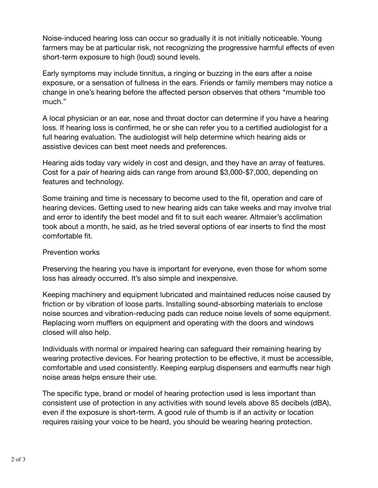Noise-induced hearing loss can occur so gradually it is not initially noticeable. Young farmers may be at particular risk, not recognizing the progressive harmful effects of even short-term exposure to high (loud) sound levels.

Early symptoms may include tinnitus, a ringing or buzzing in the ears after a noise exposure, or a sensation of fullness in the ears. Friends or family members may notice a change in one's hearing before the affected person observes that others "mumble too much."

A local physician or an ear, nose and throat doctor can determine if you have a hearing loss. If hearing loss is confirmed, he or she can refer you to a certified audiologist for a full hearing evaluation. The audiologist will help determine which hearing aids or assistive devices can best meet needs and preferences.

Hearing aids today vary widely in cost and design, and they have an array of features. Cost for a pair of hearing aids can range from around \$3,000-\$7,000, depending on features and technology.

Some training and time is necessary to become used to the fit, operation and care of hearing devices. Getting used to new hearing aids can take weeks and may involve trial and error to identify the best model and fit to suit each wearer. Altmaier's acclimation took about a month, he said, as he tried several options of ear inserts to find the most comfortable fit.

## Prevention works

Preserving the hearing you have is important for everyone, even those for whom some loss has already occurred. It's also simple and inexpensive.

Keeping machinery and equipment lubricated and maintained reduces noise caused by friction or by vibration of loose parts. Installing sound-absorbing materials to enclose noise sources and vibration-reducing pads can reduce noise levels of some equipment. Replacing worn mufflers on equipment and operating with the doors and windows closed will also help.

Individuals with normal or impaired hearing can safeguard their remaining hearing by wearing protective devices. For hearing protection to be effective, it must be accessible, comfortable and used consistently. Keeping earplug dispensers and earmuffs near high noise areas helps ensure their use.

The specific type, brand or model of hearing protection used is less important than consistent use of protection in any activities with sound levels above 85 decibels (dBA), even if the exposure is short-term. A good rule of thumb is if an activity or location requires raising your voice to be heard, you should be wearing hearing protection.